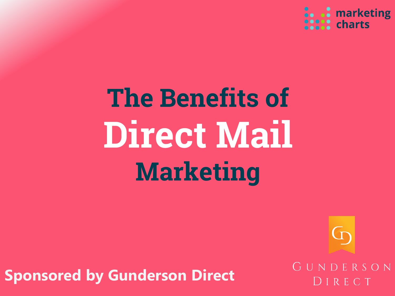

# **The Benefits of Direct Mail Marketing**

**Sponsored by Gunderson Direct**

GUNDERSON IRECT

 $\mathbb G$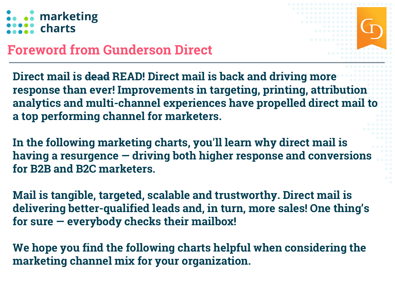### .. marketing  $\mathbf{R}$  charts



### **Foreword from Gunderson Direct**

**Direct mail is dead READ! Direct mail is back and driving more response than ever! Improvements in targeting, printing, attribution analytics and multi-channel experiences have propelled direct mail to a top performing channel for marketers.**

**In the following marketing charts, you'll learn why direct mail is having a resurgence — driving both higher response and conversions for B2B and B2C marketers.**

**Mail is tangible, targeted, scalable and trustworthy. Direct mail is delivering better-qualified leads and, in turn, more sales! One thing's for sure — everybody checks their mailbox!**

**We hope you find the following charts helpful when considering the marketing channel mix for your organization.**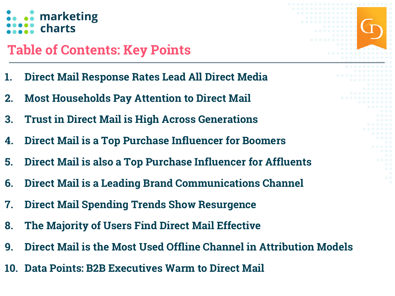### **.** marketing  $\therefore$  charts

### **Table of Contents: Key Points**

- **1. Direct Mail Response Rates Lead All Direct Media**
- **2. Most Households Pay Attention to Direct Mail**
- **3. Trust in Direct Mail is High Across Generations**
- **4. Direct Mail is a Top Purchase Influencer for Boomers**
- **5. Direct Mail is also a Top Purchase Influencer for Affluents**
- **6. Direct Mail is a Leading Brand Communications Channel**
- **7. Direct Mail Spending Trends Show Resurgence**
- **8. The Majority of Users Find Direct Mail Effective**
- **9. Direct Mail is the Most Used Offline Channel in Attribution Models**
- **10. Data Points: B2B Executives Warm to Direct Mail**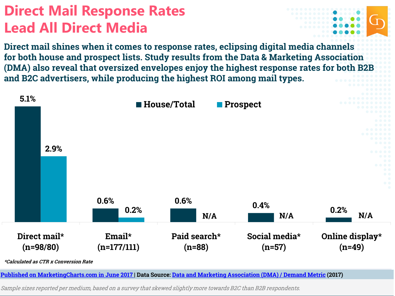# **Direct Mail Response Rates Lead All Direct Media**



**Direct mail shines when it comes to response rates, eclipsing digital media channels for both house and prospect lists. Study results from the Data & Marketing Association (DMA) also reveal that oversized envelopes enjoy the highest response rates for both B2B and B2C advertisers, while producing the highest ROI among mail types.**



**[Published on MarketingCharts.com in June 2017](https://www.marketingcharts.com/industries/business-to-business-80610) | Data Source: Data and Marketing [Association \(DMA\) / Demand Metric](https://thedma.org/marketing-insights/response-rate-report/) (2017)**

Sample sizes reported per medium, based on a survey that skewed slightly more towards B2C than B2B respondents.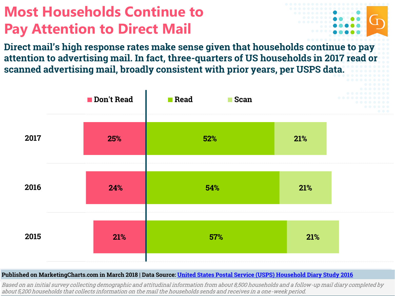# **Most Households Continue to Pay Attention to Direct Mail**



**Direct mail's high response rates make sense given that households continue to pay attention to advertising mail. In fact, three-quarters of US households in 2017 read or scanned advertising mail, broadly consistent with prior years, per USPS data.**



#### **Published on MarketingCharts.com in March 2018 | Data Source: United States [Postal Service \(USPS\) Household Diary Study 2016](https://www.prc.gov/dockets/document/100837)**

Based on an initial survey collecting demographic and attitudinal information from about 8,500 households and a follow-up mail diary completed by about 5,200 households that collects information on the mail the households sends and receives in a one-week period.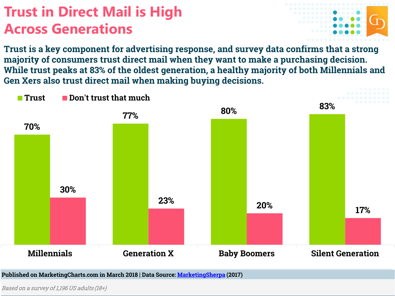# **Trust in Direct Mail is High Across Generations**



**Trust is a key component for advertising response, and survey data confirms that a strong majority of consumers trust direct mail when they want to make a purchasing decision. While trust peaks at 83% of the oldest generation, a healthy majority of both Millennials and Gen Xers also trust direct mail when making buying decisions.**



**Published on MarketingCharts.com in March 2018 | Data Source: [MarketingSherpa](https://www.marketingsherpa.com/article/chart/which-age-trusts-direct-mail) (2017)**

Based on a survey of 1,196 US adults (18+)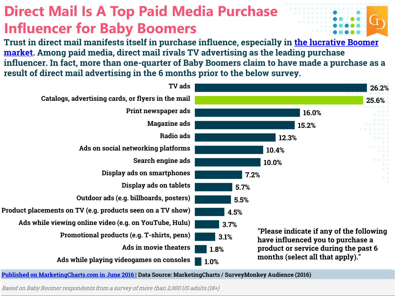# **Direct Mail Is A Top Paid Media Purchase Influencer for Baby Boomers**

**[Trust in direct mail manifests itself in purchase influence, especially in the lucrative Boomer](https://www.marketingcharts.com/industries/non-profit-75298) market. Among paid media, direct mail rivals TV advertising as the leading purchase influencer. In fact, more than one-quarter of Baby Boomers claim to have made a purchase as a result of direct mail advertising in the 6 months prior to the below survey.**



**[Published on MarketingCharts.com in June 2016 |](https://www.marketingcharts.com/industries/business-to-business-80692) Data Source: MarketingCharts / SurveyMonkey Audience (2016)**

Based on Baby Boomer respondents from a survey of more than 2,000 US adults (18+)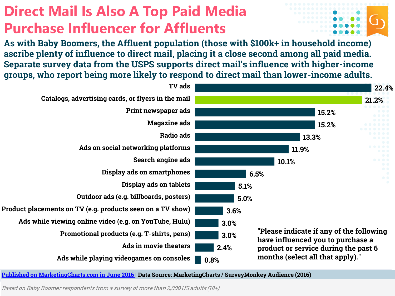# **Direct Mail Is Also A Top Paid Media Purchase Influencer for Affluents**

**As with Baby Boomers, the Affluent population (those with \$100k+ in household income) ascribe plenty of influence to direct mail, placing it a close second among all paid media. Separate survey data from the USPS supports direct mail's influence with higher-income groups, who report being more likely to respond to direct mail than lower-income adults.**



**[Published on MarketingCharts.com in June 2016 |](https://www.marketingcharts.com/industries/business-to-business-80692) Data Source: MarketingCharts / SurveyMonkey Audience (2016)**

Based on Baby Boomer respondents from a survey of more than 2,000 US adults (18+)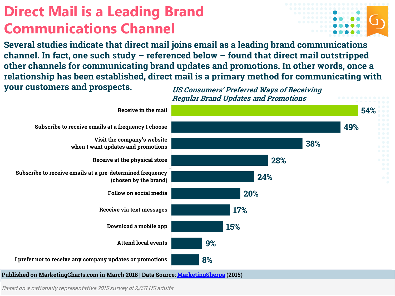# **Direct Mail is a Leading Brand Communications Channel**

**Several studies indicate that direct mail joins email as a leading brand communications channel. In fact, one such study – referenced below – found that direct mail outstripped other channels for communicating brand updates and promotions. In other words, once a relationship has been established, direct mail is a primary method for communicating with your customers and prospects. US Consumers' Preferred Ways of Receiving** 



Based on a nationally representative 2015 survey of 2,021 US adults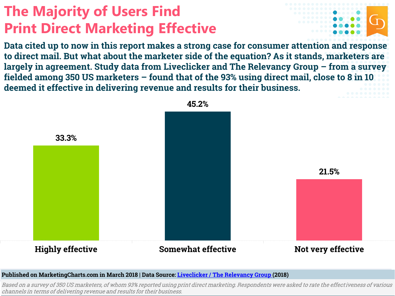# **The Majority of Users Find Print Direct Marketing Effective**



**Data cited up to now in this report makes a strong case for consumer attention and response to direct mail. But what about the marketer side of the equation? As it stands, marketers are largely in agreement. Study data from Liveclicker and The Relevancy Group – from a survey fielded among 350 US marketers – found that of the 93% using direct mail, close to 8 in 10 deemed it effective in delivering revenue and results for their business.** 



**Published on MarketingCharts.com in March 2018 | Data Source: Liveclicker [/ The Relevancy](https://www.liveclicker.com/resources_page/the-value-of-personalization/) Group (2018)**

Based on a survey of 350 US marketers, of whom 93% reported using print direct marketing. Respondents were asked to rate the effectiveness of various channels in terms of delivering revenue and results for their business.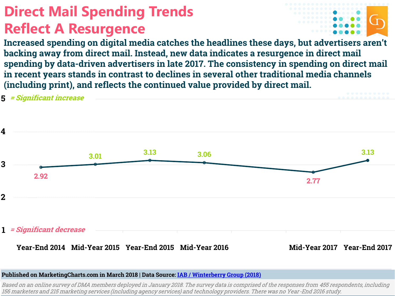# **Direct Mail Spending Trends Reflect A Resurgence**



**Increased spending on digital media catches the headlines these days, but advertisers aren't backing away from direct mail. Instead, new data indicates a resurgence in direct mail spending by data-driven advertisers in late 2017. The consistency in spending on direct mail in recent years stands in contrast to declines in several other traditional media channels (including print), and reflects the continued value provided by direct mail.**



#### **Published on MarketingCharts.com in March 2018 | Data Source: [IAB / Winterberry Group \(2018\)](https://thedma.org/news/new-research-shows-five-year-high-reported-sales-revenue-marketing-expenditure-growth/)**

Based on an online survey of DMA members deployed in January 2018. The survey data is comprised of the responses from 455 respondents, including 156 marketers and 215 marketing services (including agency services) and technology providers. There was no Year -End 2016 study.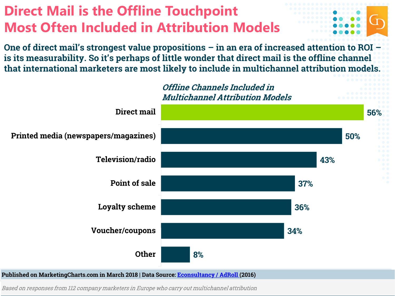# **Direct Mail is the Offline Touchpoint Most Often Included in Attribution Models**

**One of direct mail's strongest value propositions – in an era of increased attention to ROI – is its measurability. So it's perhaps of little wonder that direct mail is the offline channel that international marketers are most likely to include in multichannel attribution models.**



Based on responses from 112 company marketers in Europe who carry out multichannel attribution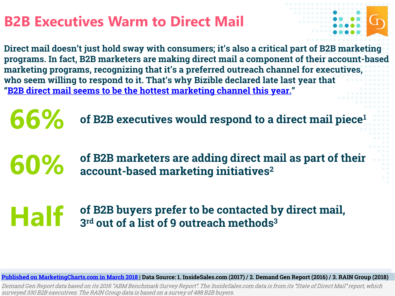### **B2B Executives Warm to Direct Mail**



**Direct mail doesn't just hold sway with consumers; it's also a critical part of B2B marketing programs. In fact, B2B marketers are making direct mail a component of their account-based marketing programs, recognizing that it's a preferred outreach channel for executives, who seem willing to respond to it. That's why Bizible declared late last year that "[B2B direct mail seems to be the hottest marketing channel this year.](https://www.bizible.com/blog/types-of-direct-mail-campaigns-in-b2b-marketing)"**

**66% of B2B executives would respond to a direct mail piece<sup>1</sup>**

**60%** of B2B marketers are adding direct mail as part of their<br> **60%** account-based marketing initiatives<sup>2</sup> **account-based marketing initiatives<sup>2</sup>**

**Half** of B2B buyers prefer to be contacted by direct mail,<br>
and out of a list of 9 outreach methods<sup>3</sup> **3 rd out of a list of 9 outreach methods<sup>3</sup>**

**[Published on MarketingCharts.com in March 2018 |](https://www.marketingcharts.com/featured-79707) Data Source: 1. InsideSales.com (2017) / 2. Demand Gen Report (2016) / 3. RAIN Group (2018)**

Demand Gen Report data based on its 2016 "ABM Benchmark Survey Report". The InsideSales.com data is from its "State of Direct Mail" report, which surveyed 330 B2B executives. The RAIN Group data is based on a survey of 488 B2B buyers.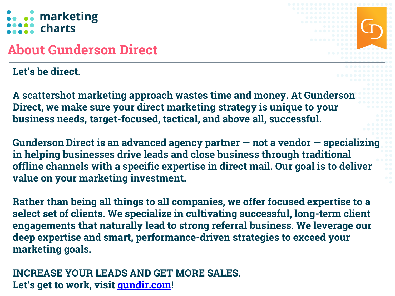### .. marketing **:** charts

### **About Gunderson Direct**

#### **Let's be direct.**

**A scattershot marketing approach wastes time and money. At Gunderson Direct, we make sure your direct marketing strategy is unique to your business needs, target-focused, tactical, and above all, successful.** 

**Gunderson Direct is an advanced agency partner — not a vendor — specializing in helping businesses drive leads and close business through traditional offline channels with a specific expertise in direct mail. Our goal is to deliver value on your marketing investment.**

**Rather than being all things to all companies, we offer focused expertise to a select set of clients. We specialize in cultivating successful, long-term client engagements that naturally lead to strong referral business. We leverage our deep expertise and smart, performance-driven strategies to exceed your marketing goals.**

#### **INCREASE YOUR LEADS AND GET MORE SALES. Let's get to work, visit<gundir.com>!**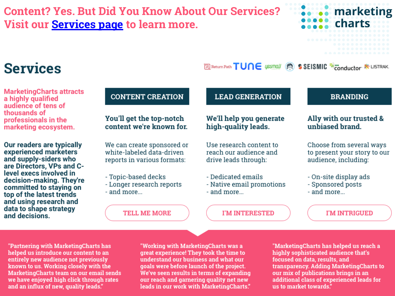#### **Content? Yes. But Did You Know About Our Services? Visit our [Services page](https://www.marketingcharts.com/services) to learn more.**



### **Services**

**MarketingCharts attracts** a highly qualified audience of tens of thousands of professionals in the marketing ecosystem.

Our readers are typically experienced marketers and supply-siders who are Directors, VPs and Clevel execs involved in decision-making. They're committed to staying on top of the latest trends and using research and data to shape strategy and decisions.

#### **CONTENT CREATION**

#### You'll get the top-notch content we're known for.

We can create sponsored or white-labeled data-driven reports in various formats:

- Topic-based decks
- Longer research reports - and more...

**TELL ME MORE** 

#### **LEAD GENERATION**

#### We'll help you generate high-quality leads.

Use research content to reach our audience and drive leads through:

- Dedicated emails
- Native email promotions - and more...

**I'M INTERESTED** 

#### **BRANDING**

#### Ally with our trusted & unbiased brand.

Choose from several ways to present your story to our audience, including:

- On-site display ads
- Sponsored posts
- and more...

Return Path TUNE USSMALL SSEISMIC Econductor & LISTRAK.

I'M INTRIGUED

"Partnering with MarketingCharts has helped us introduce our content to an entirely new audience not previously known to us. Working closely with the MarketingCharts team on our email sends we have enjoyed high click through rates and an influx of new, quality leads."

"Working with MarketingCharts was a great experience! They took the time to understand our business and what our goals were before launch of the project. We've seen results in terms of expanding our reach and garnering quality net new leads in our work with MarketingCharts."

"MarketingCharts has helped us reach a highly sophisticated audience that's focused on data, results, and transparency. Adding MarketingCharts to our mix of publications brings in an additional class of experienced leads for us to market towards."